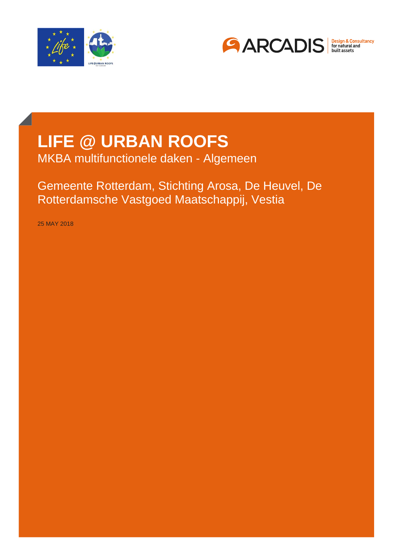



### **LIFE @ URBAN ROOFS** LIE WORDAN ROOP O **LIFE @ URBAN ROOFS**

MKBA multifunctionele daken - Algemeen

Gemeente Rotterdam, Stichting Arosa, De Heuvel, De Gemeente Rotterdam, Stichting Arosa, De Heuvel, De Rotterdamsche Vastgoed Maatschappij, Vestia

25 MAY 2018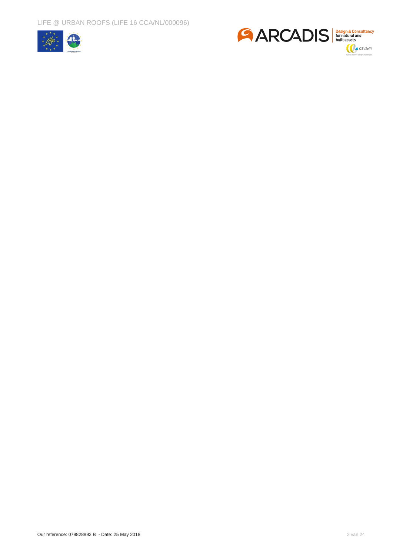

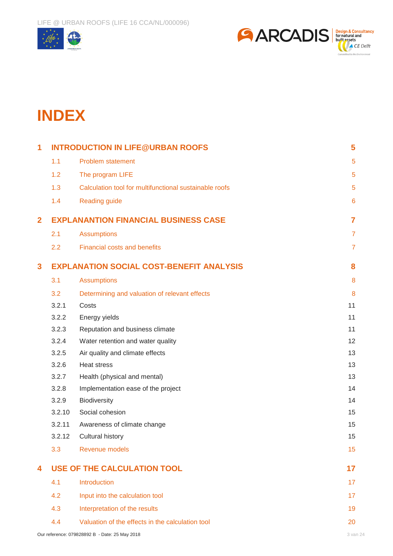



# **INDEX**

| 1              |                                                 | <b>INTRODUCTION IN LIFE@URBAN ROOFS</b>                | 5                |
|----------------|-------------------------------------------------|--------------------------------------------------------|------------------|
|                | 1.1                                             | <b>Problem statement</b>                               | $\overline{5}$   |
|                | 1.2                                             | The program LIFE                                       | 5                |
|                | 1.3                                             | Calculation tool for multifunctional sustainable roofs | $\overline{5}$   |
|                | 1.4                                             | <b>Reading guide</b>                                   | $6\phantom{1}6$  |
| $\overline{2}$ |                                                 | <b>EXPLANANTION FINANCIAL BUSINESS CASE</b>            | 7                |
|                | 2.1                                             | <b>Assumptions</b>                                     | $\overline{7}$   |
|                | 2.2                                             | <b>Financial costs and benefits</b>                    | $\overline{7}$   |
| $\mathbf{3}$   | <b>EXPLANATION SOCIAL COST-BENEFIT ANALYSIS</b> |                                                        | 8                |
|                | 3.1                                             | <b>Assumptions</b>                                     | 8                |
|                | 3.2                                             | Determining and valuation of relevant effects          | $\boldsymbol{8}$ |
|                | 3.2.1                                           | Costs                                                  | 11               |
|                | 3.2.2                                           | Energy yields                                          | 11               |
|                | 3.2.3                                           | Reputation and business climate                        | 11               |
|                | 3.2.4                                           | Water retention and water quality                      | 12               |
|                | 3.2.5                                           | Air quality and climate effects                        | 13               |
|                | 3.2.6                                           | <b>Heat stress</b>                                     | 13               |
|                | 3.2.7                                           | Health (physical and mental)                           | 13               |
|                | 3.2.8                                           | Implementation ease of the project                     | 14               |
|                | 3.2.9                                           | Biodiversity                                           | 14               |
|                | 3.2.10                                          | Social cohesion                                        | 15               |
|                | 3.2.11                                          | Awareness of climate change                            | 15               |
|                | 3.2.12                                          | Cultural history                                       | 15               |
|                | 3.3                                             | <b>Revenue models</b>                                  | 15               |
| 4              | <b>USE OF THE CALCULATION TOOL</b>              |                                                        | 17               |
|                | 4.1                                             | Introduction                                           | 17               |
|                | 4.2                                             | Input into the calculation tool                        | 17               |
|                | 4.3                                             | Interpretation of the results                          | 19               |
|                | 4.4                                             | Valuation of the effects in the calculation tool       | 20               |
|                |                                                 |                                                        |                  |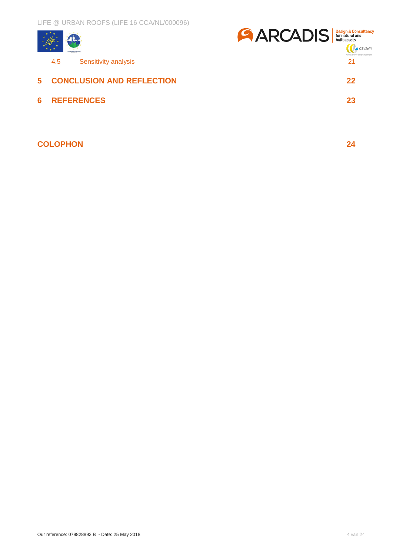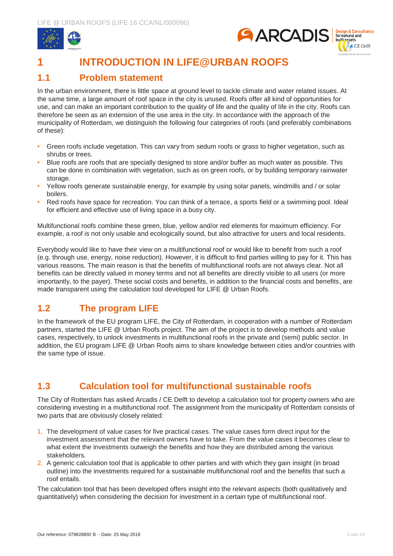



# <span id="page-4-0"></span>**1 INTRODUCTION IN LIFE@URBAN ROOFS**

#### <span id="page-4-1"></span>**1.1 Problem statement**

In the urban environment, there is little space at ground level to tackle climate and water related issues. At the same time, a large amount of roof space in the city is unused. Roofs offer all kind of opportunities for use, and can make an important contribution to the quality of life and the quality of life in the city. Roofs can therefore be seen as an extension of the use area in the city. In accordance with the approach of the municipality of Rotterdam, we distinguish the following four categories of roofs (and preferably combinations of these):

- Green roofs include vegetation. This can vary from sedum roofs or grass to higher vegetation, such as shrubs or trees.
- Blue roofs are roofs that are specially designed to store and/or buffer as much water as possible. This can be done in combination with vegetation, such as on green roofs, or by building temporary rainwater storage.
- Yellow roofs generate sustainable energy, for example by using solar panels, windmills and / or solar boilers.
- Red roofs have space for recreation. You can think of a terrace, a sports field or a swimming pool. Ideal for efficient and effective use of living space in a busy city.

Multifunctional roofs combine these green, blue, yellow and/or red elements for maximum efficiency. For example, a roof is not only usable and ecologically sound, but also attractive for users and local residents.

Everybody would like to have their view on a multifunctional roof or would like to benefit from such a roof (e.g. through use, energy, noise reduction). However, it is difficult to find parties willing to pay for it. This has various reasons. The main reason is that the benefits of multifunctional roofs are not always clear. Not all benefits can be directly valued in money terms and not all benefits are directly visible to all users (or more importantly, to the payer). These social costs and benefits, in addition to the financial costs and benefits, are made transparent using the calculation tool developed for LIFE @ Urban Roofs.

### <span id="page-4-2"></span>**1.2 The program LIFE**

In the framework of the EU program LIFE, the City of Rotterdam, in cooperation with a number of Rotterdam partners, started the LIFE @ Urban Roofs project. The aim of the project is to develop methods and value cases, respectively, to unlock investments in multifunctional roofs in the private and (semi) public sector. In addition, the EU program LIFE @ Urban Roofs aims to share knowledge between cities and/or countries with the same type of issue.

### <span id="page-4-3"></span>**1.3 Calculation tool for multifunctional sustainable roofs**

The City of Rotterdam has asked Arcadis / CE Delft to develop a calculation tool for property owners who are considering investing in a multifunctional roof. The assignment from the municipality of Rotterdam consists of two parts that are obviously closely related:

- 1. The development of value cases for five practical cases. The value cases form direct input for the investment assessment that the relevant owners have to take. From the value cases it becomes clear to what extent the investments outweigh the benefits and how they are distributed among the various stakeholders.
- 2. A generic calculation tool that is applicable to other parties and with which they gain insight (in broad outline) into the investments required for a sustainable multifunctional roof and the benefits that such a roof entails.

The calculation tool that has been developed offers insight into the relevant aspects (both qualitatively and quantitatively) when considering the decision for investment in a certain type of multifunctional roof.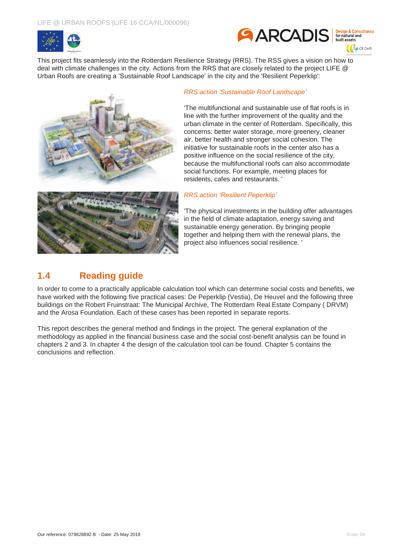



This project fits seamlessly into the Rotterdam Resilience Strategy (RRS). The RSS gives a vision on how to deal with climate challenges in the city. Actions from the RRS that are closely related to the project LIFE @ Urban Roofs are creating a 'Sustainable Roof Landscape' in the city and the 'Resilient Peperklip':



#### *RRS action 'Sustainable Roof Landscape'*

'The multifunctional and sustainable use of flat roofs is in line with the further improvement of the quality and the urban climate in the center of Rotterdam. Specifically, this concerns: better water storage, more greenery, cleaner air, better health and stronger social cohesion. The initiative for sustainable roofs in the center also has a positive influence on the social resilience of the city, because the multifunctional roofs can also accommodate social functions. For example, meeting places for residents, cafes and restaurants. '

#### *RRS action 'Resilient Peperklip'*

'The physical investments in the building offer advantages in the field of climate adaptation, energy saving and sustainable energy generation. By bringing people together and helping them with the renewal plans, the project also influences social resilience. '

### <span id="page-5-0"></span>**1.4 Reading guide**

In order to come to a practically applicable calculation tool which can determine social costs and benefits, we have worked with the following five practical cases: De Peperklip (Vestia), De Heuvel and the following three buildings on the Robert Fruinstraat: The Municipal Archive, The Rotterdam Real Estate Company ( DRVM) and the Arosa Foundation. Each of these cases has been reported in separate reports.

This report describes the general method and findings in the project. The general explanation of the methodology as applied in the financial business case and the social cost-benefit analysis can be found in chapters 2 and 3. In chapter 4 the design of the calculation tool can be found. Chapter 5 contains the conclusions and reflection.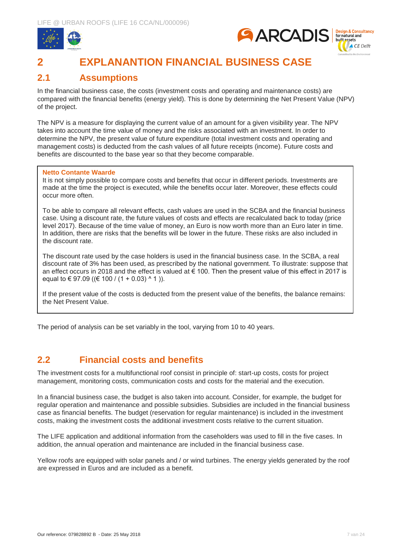





# <span id="page-6-0"></span>**2 EXPLANANTION FINANCIAL BUSINESS CASE**

#### <span id="page-6-1"></span>**2.1 Assumptions**

In the financial business case, the costs (investment costs and operating and maintenance costs) are compared with the financial benefits (energy yield). This is done by determining the Net Present Value (NPV) of the project.

The NPV is a measure for displaying the current value of an amount for a given visibility year. The NPV takes into account the time value of money and the risks associated with an investment. In order to determine the NPV, the present value of future expenditure (total investment costs and operating and management costs) is deducted from the cash values of all future receipts (income). Future costs and benefits are discounted to the base year so that they become comparable.

#### **Netto Contante Waarde**

It is not simply possible to compare costs and benefits that occur in different periods. Investments are made at the time the project is executed, while the benefits occur later. Moreover, these effects could occur more often.

To be able to compare all relevant effects, cash values are used in the SCBA and the financial business case. Using a discount rate, the future values of costs and effects are recalculated back to today (price level 2017). Because of the time value of money, an Euro is now worth more than an Euro later in time. In addition, there are risks that the benefits will be lower in the future. These risks are also included in the discount rate.

The discount rate used by the case holders is used in the financial business case. In the SCBA, a real discount rate of 3% has been used, as prescribed by the national government. To illustrate: suppose that an effect occurs in 2018 and the effect is valued at € 100. Then the present value of this effect in 2017 is equal to  $\in$  97.09 (( $\in$  100 / (1 + 0.03) ^ 1)).

If the present value of the costs is deducted from the present value of the benefits, the balance remains: the Net Present Value.

The period of analysis can be set variably in the tool, varying from 10 to 40 years.

### <span id="page-6-2"></span>**2.2 Financial costs and benefits**

The investment costs for a multifunctional roof consist in principle of: start-up costs, costs for project management, monitoring costs, communication costs and costs for the material and the execution.

In a financial business case, the budget is also taken into account. Consider, for example, the budget for regular operation and maintenance and possible subsidies. Subsidies are included in the financial business case as financial benefits. The budget (reservation for regular maintenance) is included in the investment costs, making the investment costs the additional investment costs relative to the current situation.

The LIFE application and additional information from the caseholders was used to fill in the five cases. In addition, the annual operation and maintenance are included in the financial business case.

Yellow roofs are equipped with solar panels and / or wind turbines. The energy yields generated by the roof are expressed in Euros and are included as a benefit.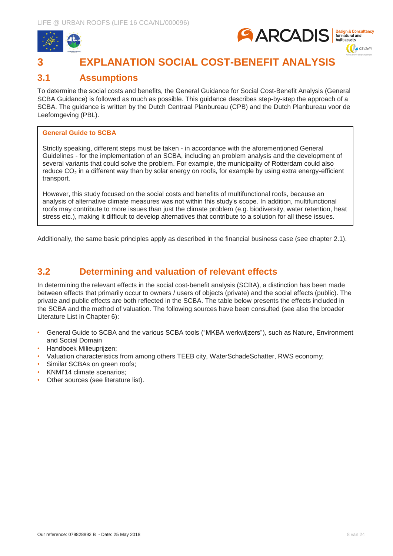





# <span id="page-7-0"></span>**3 EXPLANATION SOCIAL COST-BENEFIT ANALYSIS**

#### <span id="page-7-1"></span>**3.1 Assumptions**

To determine the social costs and benefits, the General Guidance for Social Cost-Benefit Analysis (General SCBA Guidance) is followed as much as possible. This guidance describes step-by-step the approach of a SCBA. The guidance is written by the Dutch Centraal Planbureau (CPB) and the Dutch Planbureau voor de Leefomgeving (PBL).

#### **General Guide to SCBA**

Strictly speaking, different steps must be taken - in accordance with the aforementioned General Guidelines - for the implementation of an SCBA, including an problem analysis and the development of several variants that could solve the problem. For example, the municipality of Rotterdam could also reduce  $CO<sub>2</sub>$  in a different way than by solar energy on roofs, for example by using extra energy-efficient transport.

However, this study focused on the social costs and benefits of multifunctional roofs, because an analysis of alternative climate measures was not within this study's scope. In addition, multifunctional roofs may contribute to more issues than just the climate problem (e.g. biodiversity, water retention, heat stress etc.), making it difficult to develop alternatives that contribute to a solution for all these issues.

Additionally, the same basic principles apply as described in the financial business case (see chapter 2.1).

### <span id="page-7-2"></span>**3.2 Determining and valuation of relevant effects**

In determining the relevant effects in the social cost-benefit analysis (SCBA), a distinction has been made between effects that primarily occur to owners / users of objects (private) and the social effects (public). The private and public effects are both reflected in the SCBA. The table below presents the effects included in the SCBA and the method of valuation. The following sources have been consulted (see also the broader Literature List in Chapter 6):

- General Guide to SCBA and the various SCBA tools ("MKBA werkwijzers"), such as Nature, Environment and Social Domain
- Handboek Milieuprijzen;
- Valuation characteristics from among others TEEB city, WaterSchadeSchatter, RWS economy;
- Similar SCBAs on green roofs:
- KNMI'14 climate scenarios;
- Other sources (see literature list).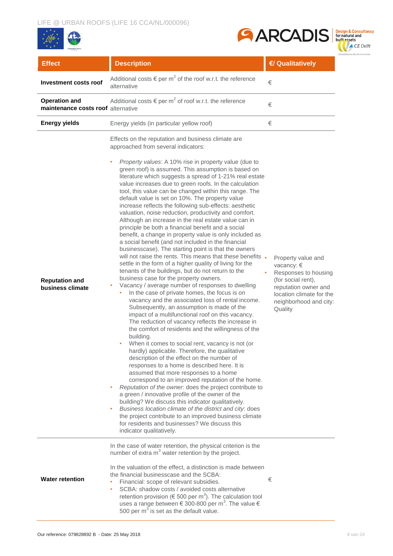



| <b>Effect</b>                                              | <b>Description</b>                                                                                                                                                                                                                                                                                                                                                                                                                                                                                                                                                                                                                                                                                                                                                                                                                                                                                                                                                                                                                                                                                                                                                                                                                                                                                                                                                                                                                                                                                                                                                                                                                                                                                                                                                                                                                                                                                                                                                                                                                                                                                                                                              | €/ Qualitatively                                                                                                                                                        |
|------------------------------------------------------------|-----------------------------------------------------------------------------------------------------------------------------------------------------------------------------------------------------------------------------------------------------------------------------------------------------------------------------------------------------------------------------------------------------------------------------------------------------------------------------------------------------------------------------------------------------------------------------------------------------------------------------------------------------------------------------------------------------------------------------------------------------------------------------------------------------------------------------------------------------------------------------------------------------------------------------------------------------------------------------------------------------------------------------------------------------------------------------------------------------------------------------------------------------------------------------------------------------------------------------------------------------------------------------------------------------------------------------------------------------------------------------------------------------------------------------------------------------------------------------------------------------------------------------------------------------------------------------------------------------------------------------------------------------------------------------------------------------------------------------------------------------------------------------------------------------------------------------------------------------------------------------------------------------------------------------------------------------------------------------------------------------------------------------------------------------------------------------------------------------------------------------------------------------------------|-------------------------------------------------------------------------------------------------------------------------------------------------------------------------|
| Investment costs roof                                      | Additional costs $\epsilon$ per m <sup>2</sup> of the roof w.r.t. the reference<br>alternative                                                                                                                                                                                                                                                                                                                                                                                                                                                                                                                                                                                                                                                                                                                                                                                                                                                                                                                                                                                                                                                                                                                                                                                                                                                                                                                                                                                                                                                                                                                                                                                                                                                                                                                                                                                                                                                                                                                                                                                                                                                                  | €                                                                                                                                                                       |
| <b>Operation and</b><br>maintenance costs roof alternative | Additional costs $\epsilon$ per m <sup>2</sup> of roof w.r.t. the reference                                                                                                                                                                                                                                                                                                                                                                                                                                                                                                                                                                                                                                                                                                                                                                                                                                                                                                                                                                                                                                                                                                                                                                                                                                                                                                                                                                                                                                                                                                                                                                                                                                                                                                                                                                                                                                                                                                                                                                                                                                                                                     | €                                                                                                                                                                       |
| <b>Energy yields</b>                                       | Energy yields (in particular yellow roof)                                                                                                                                                                                                                                                                                                                                                                                                                                                                                                                                                                                                                                                                                                                                                                                                                                                                                                                                                                                                                                                                                                                                                                                                                                                                                                                                                                                                                                                                                                                                                                                                                                                                                                                                                                                                                                                                                                                                                                                                                                                                                                                       | €                                                                                                                                                                       |
| <b>Reputation and</b><br>business climate                  | Effects on the reputation and business climate are<br>approached from several indicators:<br>Property values: A 10% rise in property value (due to<br>green roof) is assumed. This assumption is based on<br>literature which suggests a spread of 1-21% real estate<br>value increases due to green roofs. In the calculation<br>tool, this value can be changed within this range. The<br>default value is set on 10%. The property value<br>increase reflects the following sub-effects: aesthetic<br>valuation, noise reduction, productivity and comfort.<br>Although an increase in the real estate value can in<br>principle be both a financial benefit and a social<br>benefit, a change in property value is only included as<br>a social benefit (and not included in the financial<br>businesscase). The starting point is that the owners<br>will not raise the rents. This means that these benefits.<br>settle in the form of a higher quality of living for the<br>tenants of the buildings, but do not return to the<br>business case for the property owners.<br>Vacancy / average number of responses to dwelling<br>٠<br>In the case of private homes, the focus is on<br>vacancy and the associated loss of rental income.<br>Subsequently, an assumption is made of the<br>impact of a multifunctional roof on this vacancy.<br>The reduction of vacancy reflects the increase in<br>the comfort of residents and the willingness of the<br>building.<br>When it comes to social rent, vacancy is not (or<br>٠<br>hardly) applicable. Therefore, the qualitative<br>description of the effect on the number of<br>responses to a home is described here. It is<br>assumed that more responses to a home<br>correspond to an improved reputation of the home.<br>Reputation of the owner. does the project contribute to<br>a green / innovative profile of the owner of the<br>building? We discuss this indicator qualitatively.<br>Business location climate of the district and city: does<br>۰<br>the project contribute to an improved business climate<br>for residents and businesses? We discuss this<br>indicator qualitatively. | Property value and<br>vacancy: €<br>Responses to housing<br>(for social rent),<br>reputation owner and<br>location climate for the<br>neighborhood and city:<br>Quality |
| <b>Water retention</b>                                     | In the case of water retention, the physical criterion is the<br>number of extra m <sup>3</sup> water retention by the project.<br>In the valuation of the effect, a distinction is made between<br>the financial businesscase and the SCBA:<br>Financial: scope of relevant subsidies.<br>SCBA: shadow costs / avoided costs alternative<br>$\bullet$<br>retention provision ( $\in$ 500 per m <sup>3</sup> ). The calculation tool<br>uses a range between € 300-800 per m <sup>3</sup> . The value €<br>500 per $m3$ is set as the default value.                                                                                                                                                                                                                                                                                                                                                                                                                                                                                                                                                                                                                                                                                                                                                                                                                                                                                                                                                                                                                                                                                                                                                                                                                                                                                                                                                                                                                                                                                                                                                                                                            | €                                                                                                                                                                       |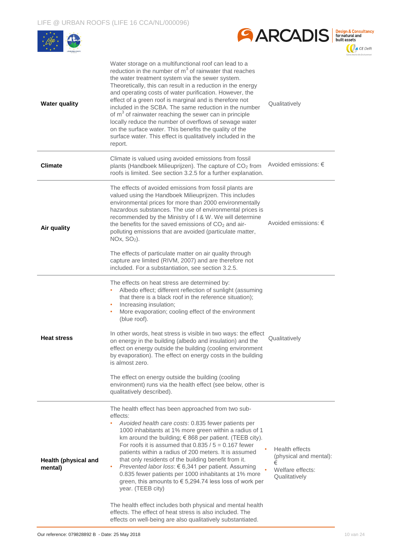



| <b>Water quality</b>            | Water storage on a multifunctional roof can lead to a<br>reduction in the number of $m3$ of rainwater that reaches<br>the water treatment system via the sewer system.<br>Theoretically, this can result in a reduction in the energy<br>and operating costs of water purification. However, the<br>effect of a green roof is marginal and is therefore not<br>included in the SCBA. The same reduction in the number<br>of m <sup>3</sup> of rainwater reaching the sewer can in principle<br>locally reduce the number of overflows of sewage water<br>on the surface water. This benefits the quality of the<br>surface water. This effect is qualitatively included in the<br>report.                                                                                                                                  | Qualitatively                                                                      |
|---------------------------------|----------------------------------------------------------------------------------------------------------------------------------------------------------------------------------------------------------------------------------------------------------------------------------------------------------------------------------------------------------------------------------------------------------------------------------------------------------------------------------------------------------------------------------------------------------------------------------------------------------------------------------------------------------------------------------------------------------------------------------------------------------------------------------------------------------------------------|------------------------------------------------------------------------------------|
| <b>Climate</b>                  | Climate is valued using avoided emissions from fossil<br>plants (Handboek Milieuprijzen). The capture of CO <sub>2</sub> from<br>roofs is limited. See section 3.2.5 for a further explanation.                                                                                                                                                                                                                                                                                                                                                                                                                                                                                                                                                                                                                            | Avoided emissions: €                                                               |
| Air quality                     | The effects of avoided emissions from fossil plants are<br>valued using the Handboek Milieuprijzen. This includes<br>environmental prices for more than 2000 environmentally<br>hazardous substances. The use of environmental prices is<br>recommended by the Ministry of I & W. We will determine<br>the benefits for the saved emissions of $CO2$ and air-<br>polluting emissions that are avoided (particulate matter,<br>$NOx, SO2)$ .<br>The effects of particulate matter on air quality through<br>capture are limited (RIVM, 2007) and are therefore not                                                                                                                                                                                                                                                          | Avoided emissions: €                                                               |
| <b>Heat stress</b>              | included. For a substantiation, see section 3.2.5.<br>The effects on heat stress are determined by:<br>Albedo effect; different reflection of sunlight (assuming<br>٠<br>that there is a black roof in the reference situation);<br>Increasing insulation;<br>More evaporation; cooling effect of the environment<br>(blue roof).<br>In other words, heat stress is visible in two ways: the effect<br>on energy in the building (albedo and insulation) and the<br>effect on energy outside the building (cooling environment<br>by evaporation). The effect on energy costs in the building<br>is almost zero.<br>The effect on energy outside the building (cooling<br>environment) runs via the health effect (see below, other is<br>qualitatively described).                                                        | Qualitatively                                                                      |
| Health (physical and<br>mental) | The health effect has been approached from two sub-<br>effects:<br>Avoided health care costs: 0.835 fewer patients per<br>1000 inhabitants at 1% more green within a radius of 1<br>km around the building; €868 per patient. (TEEB city).<br>For roofs it is assumed that $0.835 / 5 = 0.167$ fewer<br>patients within a radius of 200 meters. It is assumed<br>that only residents of the building benefit from it.<br><i>Prevented labor loss</i> : € 6,341 per patient. Assuming<br>٠<br>0.835 fewer patients per 1000 inhabitants at 1% more<br>green, this amounts to € 5,294.74 less loss of work per<br>year. (TEEB city)<br>The health effect includes both physical and mental health<br>effects. The effect of heat stress is also included. The<br>effects on well-being are also qualitatively substantiated. | Health effects<br>(physical and mental):<br>€<br>Welfare effects:<br>Qualitatively |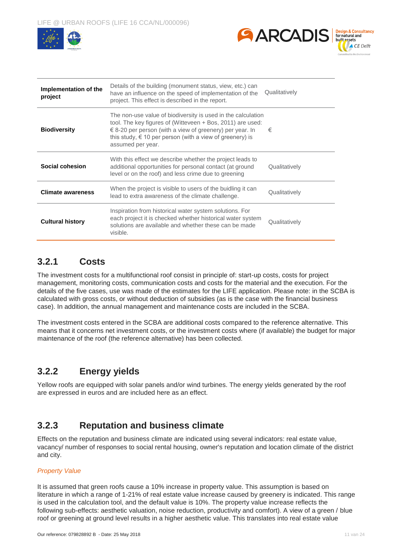



| Implementation of the<br>project | Details of the building (monument status, view, etc.) can<br>have an influence on the speed of implementation of the<br>project. This effect is described in the report.                                                                                                                  | Qualitatively |
|----------------------------------|-------------------------------------------------------------------------------------------------------------------------------------------------------------------------------------------------------------------------------------------------------------------------------------------|---------------|
| <b>Biodiversity</b>              | The non-use value of biodiversity is used in the calculation<br>tool. The key figures of (Witteveen + Bos, 2011) are used:<br>$\epsilon$ 8-20 per person (with a view of greenery) per year. In<br>this study, $\epsilon$ 10 per person (with a view of greenery) is<br>assumed per year. | €             |
| Social cohesion                  | With this effect we describe whether the project leads to<br>additional opportunities for personal contact (at ground<br>level or on the roof) and less crime due to greening                                                                                                             | Qualitatively |
| <b>Climate awareness</b>         | When the project is visible to users of the buidling it can<br>lead to extra awareness of the climate challenge.                                                                                                                                                                          | Qualitatively |
| <b>Cultural history</b>          | Inspiration from historical water system solutions. For<br>each project it is checked whether historical water system<br>solutions are available and whether these can be made<br>visible.                                                                                                | Qualitatively |

### <span id="page-10-0"></span>**3.2.1 Costs**

The investment costs for a multifunctional roof consist in principle of: start-up costs, costs for project management, monitoring costs, communication costs and costs for the material and the execution. For the details of the five cases, use was made of the estimates for the LIFE application. Please note: in the SCBA is calculated with gross costs, or without deduction of subsidies (as is the case with the financial business case). In addition, the annual management and maintenance costs are included in the SCBA.

The investment costs entered in the SCBA are additional costs compared to the reference alternative. This means that it concerns net investment costs, or the investment costs where (if available) the budget for major maintenance of the roof (the reference alternative) has been collected.

### <span id="page-10-1"></span>**3.2.2 Energy yields**

Yellow roofs are equipped with solar panels and/or wind turbines. The energy yields generated by the roof are expressed in euros and are included here as an effect.

### <span id="page-10-2"></span>**3.2.3 Reputation and business climate**

Effects on the reputation and business climate are indicated using several indicators: real estate value, vacancy/ number of responses to social rental housing, owner's reputation and location climate of the district and city.

#### *Property Value*

It is assumed that green roofs cause a 10% increase in property value. This assumption is based on literature in which a range of 1-21% of real estate value increase caused by greenery is indicated. This range is used in the calculation tool, and the default value is 10%. The property value increase reflects the following sub-effects: aesthetic valuation, noise reduction, productivity and comfort). A view of a green / blue roof or greening at ground level results in a higher aesthetic value. This translates into real estate value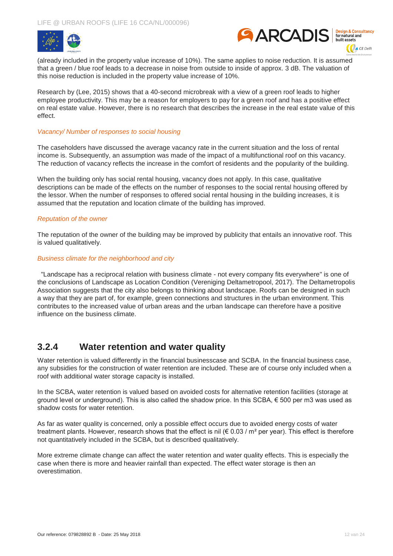



(already included in the property value increase of 10%). The same applies to noise reduction. It is assumed that a green / blue roof leads to a decrease in noise from outside to inside of approx. 3 dB. The valuation of this noise reduction is included in the property value increase of 10%.

Research by (Lee, 2015) shows that a 40-second microbreak with a view of a green roof leads to higher employee productivity. This may be a reason for employers to pay for a green roof and has a positive effect on real estate value. However, there is no research that describes the increase in the real estate value of this effect.

#### *Vacancy/ Number of responses to social housing*

The caseholders have discussed the average vacancy rate in the current situation and the loss of rental income is. Subsequently, an assumption was made of the impact of a multifunctional roof on this vacancy. The reduction of vacancy reflects the increase in the comfort of residents and the popularity of the building.

When the building only has social rental housing, vacancy does not apply. In this case, qualitative descriptions can be made of the effects on the number of responses to the social rental housing offered by the lessor. When the number of responses to offered social rental housing in the building increases, it is assumed that the reputation and location climate of the building has improved.

#### *Reputation of the owner*

The reputation of the owner of the building may be improved by publicity that entails an innovative roof. This is valued qualitatively.

#### *Business climate for the neighborhood and city*

 "Landscape has a reciprocal relation with business climate - not every company fits everywhere" is one of the conclusions of Landscape as Location Condition (Vereniging Deltametropool, 2017). The Deltametropolis Association suggests that the city also belongs to thinking about landscape. Roofs can be designed in such a way that they are part of, for example, green connections and structures in the urban environment. This contributes to the increased value of urban areas and the urban landscape can therefore have a positive influence on the business climate.

#### <span id="page-11-0"></span>**3.2.4 Water retention and water quality**

Water retention is valued differently in the financial businesscase and SCBA. In the financial business case, any subsidies for the construction of water retention are included. These are of course only included when a roof with additional water storage capacity is installed.

In the SCBA, water retention is valued based on avoided costs for alternative retention facilities (storage at ground level or underground). This is also called the shadow price. In this SCBA, € 500 per m3 was used as shadow costs for water retention.

As far as water quality is concerned, only a possible effect occurs due to avoided energy costs of water treatment plants. However, research shows that the effect is nil ( $\in 0.03$  /  $m<sup>2</sup>$  per year). This effect is therefore not quantitatively included in the SCBA, but is described qualitatively.

More extreme climate change can affect the water retention and water quality effects. This is especially the case when there is more and heavier rainfall than expected. The effect water storage is then an overestimation.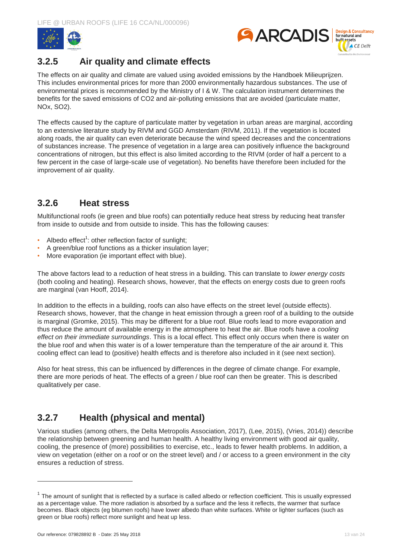



### <span id="page-12-0"></span>**3.2.5 Air quality and climate effects**

The effects on air quality and climate are valued using avoided emissions by the Handboek Milieuprijzen. This includes environmental prices for more than 2000 environmentally hazardous substances. The use of environmental prices is recommended by the Ministry of I & W. The calculation instrument determines the benefits for the saved emissions of CO2 and air-polluting emissions that are avoided (particulate matter, NOx, SO2).

The effects caused by the capture of particulate matter by vegetation in urban areas are marginal, according to an extensive literature study by RIVM and GGD Amsterdam (RIVM, 2011). If the vegetation is located along roads, the air quality can even deteriorate because the wind speed decreases and the concentrations of substances increase. The presence of vegetation in a large area can positively influence the background concentrations of nitrogen, but this effect is also limited according to the RIVM (order of half a percent to a few percent in the case of large-scale use of vegetation). No benefits have therefore been included for the improvement of air quality.

### <span id="page-12-1"></span>**3.2.6 Heat stress**

Multifunctional roofs (ie green and blue roofs) can potentially reduce heat stress by reducing heat transfer from inside to outside and from outside to inside. This has the following causes:

- Albedo effect $^1$ : other reflection factor of sunlight;
- A green/blue roof functions as a thicker insulation layer;
- More evaporation (ie important effect with blue).

The above factors lead to a reduction of heat stress in a building. This can translate to *lower energy costs* (both cooling and heating). Research shows, however, that the effects on energy costs due to green roofs are marginal (van Hooff, 2014).

In addition to the effects in a building, roofs can also have effects on the street level (outside effects). Research shows, however, that the change in heat emission through a green roof of a building to the outside is marginal (Gromke, 2015). This may be different for a blue roof. Blue roofs lead to more evaporation and thus reduce the amount of available energy in the atmosphere to heat the air. Blue roofs have a *cooling effect on their immediate surroundings*. This is a local effect. This effect only occurs when there is water on the blue roof and when this water is of a lower temperature than the temperature of the air around it. This cooling effect can lead to (positive) health effects and is therefore also included in it (see next section).

Also for heat stress, this can be influenced by differences in the degree of climate change. For example, there are more periods of heat. The effects of a green / blue roof can then be greater. This is described qualitatively per case.

### <span id="page-12-2"></span>**3.2.7 Health (physical and mental)**

Various studies (among others, the Delta Metropolis Association, 2017), (Lee, 2015), (Vries, 2014)) describe the relationship between greening and human health. A healthy living environment with good air quality, cooling, the presence of (more) possibilities to exercise, etc., leads to fewer health problems. In addition, a view on vegetation (either on a roof or on the street level) and / or access to a green environment in the city ensures a reduction of stress.

-

 $1$  The amount of sunlight that is reflected by a surface is called albedo or reflection coefficient. This is usually expressed as a percentage value. The more radiation is absorbed by a surface and the less it reflects, the warmer that surface becomes. Black objects (eg bitumen roofs) have lower albedo than white surfaces. White or lighter surfaces (such as green or blue roofs) reflect more sunlight and heat up less.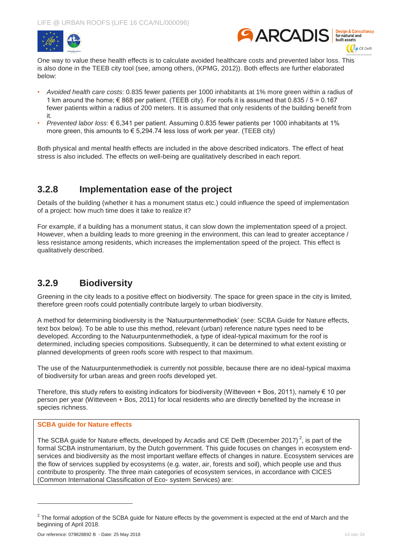



One way to value these health effects is to calculate avoided healthcare costs and prevented labor loss. This is also done in the TEEB city tool (see, among others, (KPMG, 2012)). Both effects are further elaborated below:

- *Avoided health care costs*: 0.835 fewer patients per 1000 inhabitants at 1% more green within a radius of 1 km around the home; € 868 per patient. (TEEB city). For roofs it is assumed that  $0.835 / 5 = 0.167$ fewer patients within a radius of 200 meters. It is assumed that only residents of the building benefit from it.
- *Prevented labor loss*: € 6,341 per patient. Assuming 0.835 fewer patients per 1000 inhabitants at 1% more green, this amounts to  $\epsilon$  5,294.74 less loss of work per year. (TEEB city)

Both physical and mental health effects are included in the above described indicators. The effect of heat stress is also included. The effects on well-being are qualitatively described in each report.

#### <span id="page-13-0"></span>**3.2.8 Implementation ease of the project**

Details of the building (whether it has a monument status etc.) could influence the speed of implementation of a project: how much time does it take to realize it?

For example, if a building has a monument status, it can slow down the implementation speed of a project. However, when a building leads to more greening in the environment, this can lead to greater acceptance / less resistance among residents, which increases the implementation speed of the project. This effect is qualitatively described.

### <span id="page-13-1"></span>**3.2.9 Biodiversity**

Greening in the city leads to a positive effect on biodiversity. The space for green space in the city is limited, therefore green roofs could potentially contribute largely to urban biodiversity.

A method for determining biodiversity is the 'Natuurpuntenmethodiek' (see: SCBA Guide for Nature effects, text box below). To be able to use this method, relevant (urban) reference nature types need to be developed. According to the Natuurpuntenmethodiek, a type of ideal-typical maximum for the roof is determined, including species compositions. Subsequently, it can be determined to what extent existing or planned developments of green roofs score with respect to that maximum.

The use of the Natuurpuntenmethodiek is currently not possible, because there are no ideal-typical maxima of biodiversity for urban areas and green roofs developed yet.

Therefore, this study refers to existing indicators for biodiversity (Witteveen + Bos, 2011), namely € 10 per person per year (Witteveen + Bos, 2011) for local residents who are directly benefited by the increase in species richness.

#### **SCBA guide for Nature effects**

The SCBA guide for Nature effects, developed by Arcadis and CE Delft (December 2017)<sup>2</sup>, is part of the formal SCBA instrumentarium, by the Dutch government. This guide focuses on changes in ecosystem endservices and biodiversity as the most important welfare effects of changes in nature. Ecosystem services are the flow of services supplied by ecosystems (e.g. water, air, forests and soil), which people use and thus contribute to prosperity. The three main categories of ecosystem services, in accordance with CICES (Common International Classification of Eco- system Services) are:

-

 $2$  The formal adoption of the SCBA guide for Nature effects by the government is expected at the end of March and the beginning of April 2018.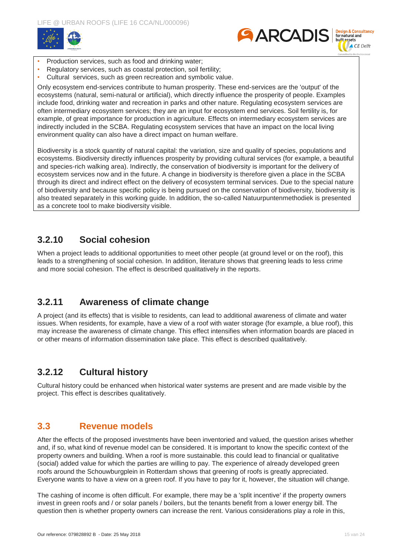



- Production services, such as food and drinking water;
- Regulatory services, such as coastal protection, soil fertility;
- Cultural services, such as green recreation and symbolic value.

Only ecosystem end-services contribute to human prosperity. These end-services are the 'output' of the ecosystems (natural, semi-natural or artificial), which directly influence the prosperity of people. Examples include food, drinking water and recreation in parks and other nature. Regulating ecosystem services are often intermediary ecosystem services; they are an input for ecosystem end services. Soil fertility is, for example, of great importance for production in agriculture. Effects on intermediary ecosystem services are indirectly included in the SCBA. Regulating ecosystem services that have an impact on the local living environment quality can also have a direct impact on human welfare.

Biodiversity is a stock quantity of natural capital: the variation, size and quality of species, populations and ecosystems. Biodiversity directly influences prosperity by providing cultural services (for example, a beautiful and species-rich walking area). Indirectly, the conservation of biodiversity is important for the delivery of ecosystem services now and in the future. A change in biodiversity is therefore given a place in the SCBA through its direct and indirect effect on the delivery of ecosystem terminal services. Due to the special nature of biodiversity and because specific policy is being pursued on the conservation of biodiversity, biodiversity is also treated separately in this working guide. In addition, the so-called Natuurpuntenmethodiek is presented as a concrete tool to make biodiversity visible.

### <span id="page-14-0"></span>**3.2.10 Social cohesion**

When a project leads to additional opportunities to meet other people (at ground level or on the roof), this leads to a strengthening of social cohesion. In addition, literature shows that greening leads to less crime and more social cohesion. The effect is described qualitatively in the reports.

### <span id="page-14-1"></span>**3.2.11 Awareness of climate change**

A project (and its effects) that is visible to residents, can lead to additional awareness of climate and water issues. When residents, for example, have a view of a roof with water storage (for example, a blue roof), this may increase the awareness of climate change. This effect intensifies when information boards are placed in or other means of information dissemination take place. This effect is described qualitatively.

### <span id="page-14-2"></span>**3.2.12 Cultural history**

Cultural history could be enhanced when historical water systems are present and are made visible by the project. This effect is describes qualitatively.

#### <span id="page-14-3"></span>**3.3 Revenue models**

After the effects of the proposed investments have been inventoried and valued, the question arises whether and, if so, what kind of revenue model can be considered. It is important to know the specific context of the property owners and building. When a roof is more sustainable. this could lead to financial or qualitative (social) added value for which the parties are willing to pay. The experience of already developed green roofs around the Schouwburgplein in Rotterdam shows that greening of roofs is greatly appreciated. Everyone wants to have a view on a green roof. If you have to pay for it, however, the situation will change.

The cashing of income is often difficult. For example, there may be a 'split incentive' if the property owners invest in green roofs and / or solar panels / boilers, but the tenants benefit from a lower energy bill. The question then is whether property owners can increase the rent. Various considerations play a role in this,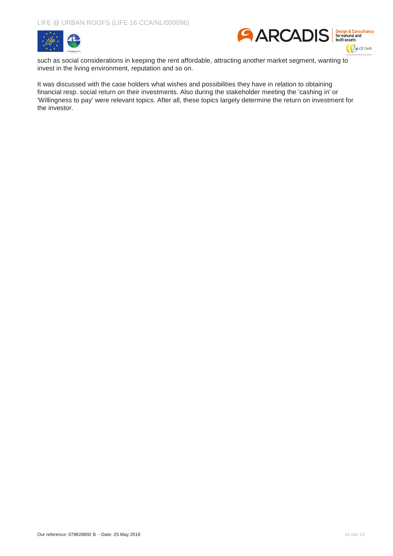



such as social considerations in keeping the rent affordable, attracting another market segment, wanting to invest in the living environment, reputation and so on.

It was discussed with the case holders what wishes and possibilities they have in relation to obtaining financial resp. social return on their investments. Also during the stakeholder meeting the 'cashing in' or 'Willingness to pay' were relevant topics. After all, these topics largely determine the return on investment for the investor.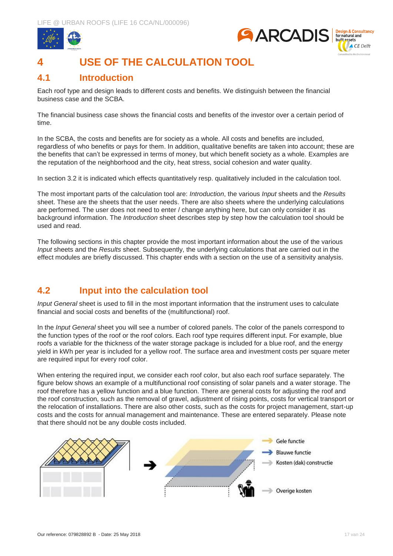





# <span id="page-16-0"></span>**4 USE OF THE CALCULATION TOOL**

#### <span id="page-16-1"></span>**4.1 Introduction**

Each roof type and design leads to different costs and benefits. We distinguish between the financial business case and the SCBA.

The financial business case shows the financial costs and benefits of the investor over a certain period of time.

In the SCBA, the costs and benefits are for society as a whole. All costs and benefits are included, regardless of who benefits or pays for them. In addition, qualitative benefits are taken into account; these are the benefits that can't be expressed in terms of money, but which benefit society as a whole. Examples are the reputation of the neighborhood and the city, heat stress, social cohesion and water quality.

In section 3.2 it is indicated which effects quantitatively resp. qualitatively included in the calculation tool.

The most important parts of the calculation tool are: *Introduction*, the various *Input* sheets and the *Results* sheet. These are the sheets that the user needs. There are also sheets where the underlying calculations are performed. The user does not need to enter / change anything here, but can only consider it as background information. The *Introduction* sheet describes step by step how the calculation tool should be used and read.

The following sections in this chapter provide the most important information about the use of the various *Input* sheets and the *Results* sheet. Subsequently, the underlying calculations that are carried out in the effect modules are briefly discussed. This chapter ends with a section on the use of a sensitivity analysis.

### <span id="page-16-2"></span>**4.2 Input into the calculation tool**

*Input General* sheet is used to fill in the most important information that the instrument uses to calculate financial and social costs and benefits of the (multifunctional) roof.

In the *Input General* sheet you will see a number of colored panels. The color of the panels correspond to the function types of the roof or the roof colors. Each roof type requires different input. For example, blue roofs a variable for the thickness of the water storage package is included for a blue roof, and the energy yield in kWh per year is included for a yellow roof. The surface area and investment costs per square meter are required input for every roof color.

When entering the required input, we consider each roof color, but also each roof surface separately. The figure below shows an example of a multifunctional roof consisting of solar panels and a water storage. The roof therefore has a yellow function and a blue function. There are general costs for adjusting the roof and the roof construction, such as the removal of gravel, adjustment of rising points, costs for vertical transport or the relocation of installations. There are also other costs, such as the costs for project management, start-up costs and the costs for annual management and maintenance. These are entered separately. Please note that there should not be any double costs included.

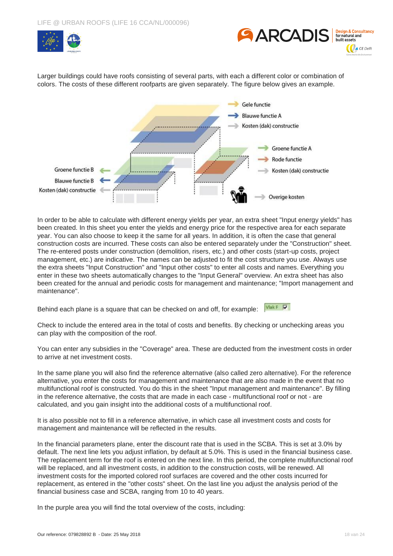



Larger buildings could have roofs consisting of several parts, with each a different color or combination of colors. The costs of these different roofparts are given separately. The figure below gives an example.



In order to be able to calculate with different energy yields per year, an extra sheet "Input energy yields" has been created. In this sheet you enter the yields and energy price for the respective area for each separate year. You can also choose to keep it the same for all years. In addition, it is often the case that general construction costs are incurred. These costs can also be entered separately under the "Construction" sheet. The re-entered posts under construction (demolition, risers, etc.) and other costs (start-up costs, project management, etc.) are indicative. The names can be adjusted to fit the cost structure you use. Always use the extra sheets "Input Construction" and "Input other costs" to enter all costs and names. Everything you enter in these two sheets automatically changes to the "Input General" overview. An extra sheet has also been created for the annual and periodic costs for management and maintenance; "Import management and maintenance".

Vlak F  $\overline{\mathsf{W}}$ Behind each plane is a square that can be checked on and off, for example:

Check to include the entered area in the total of costs and benefits. By checking or unchecking areas you can play with the composition of the roof.

You can enter any subsidies in the "Coverage" area. These are deducted from the investment costs in order to arrive at net investment costs.

In the same plane you will also find the reference alternative (also called zero alternative). For the reference alternative, you enter the costs for management and maintenance that are also made in the event that no multifunctional roof is constructed. You do this in the sheet "Input management and maintenance". By filling in the reference alternative, the costs that are made in each case - multifunctional roof or not - are calculated, and you gain insight into the additional costs of a multifunctional roof.

It is also possible not to fill in a reference alternative, in which case all investment costs and costs for management and maintenance will be reflected in the results.

In the financial parameters plane, enter the discount rate that is used in the SCBA. This is set at 3.0% by default. The next line lets you adjust inflation, by default at 5.0%. This is used in the financial business case. The replacement term for the roof is entered on the next line. In this period, the complete multifunctional roof will be replaced, and all investment costs, in addition to the construction costs, will be renewed. All investment costs for the imported colored roof surfaces are covered and the other costs incurred for replacement, as entered in the "other costs" sheet. On the last line you adjust the analysis period of the financial business case and SCBA, ranging from 10 to 40 years.

In the purple area you will find the total overview of the costs, including: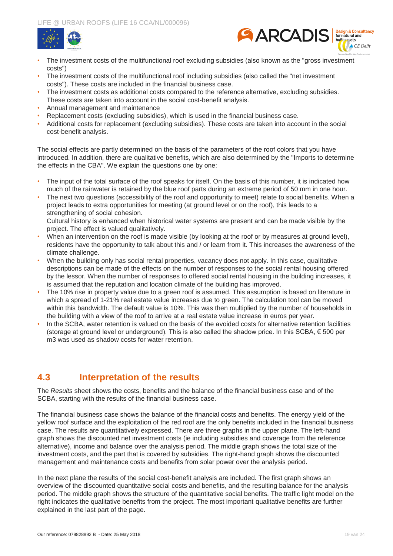



- The investment costs of the multifunctional roof excluding subsidies (also known as the "gross investment costs")
- The investment costs of the multifunctional roof including subsidies (also called the "net investment costs"). These costs are included in the financial business case.
- The investment costs as additional costs compared to the reference alternative, excluding subsidies. These costs are taken into account in the social cost-benefit analysis.
- Annual management and maintenance
- Replacement costs (excluding subsidies), which is used in the financial business case.
- Additional costs for replacement (excluding subsidies). These costs are taken into account in the social cost-benefit analysis.

The social effects are partly determined on the basis of the parameters of the roof colors that you have introduced. In addition, there are qualitative benefits, which are also determined by the "Imports to determine the effects in the CBA". We explain the questions one by one:

- The input of the total surface of the roof speaks for itself. On the basis of this number, it is indicated how much of the rainwater is retained by the blue roof parts during an extreme period of 50 mm in one hour.
- The next two questions (accessibility of the roof and opportunity to meet) relate to social benefits. When a project leads to extra opportunities for meeting (at ground level or on the roof), this leads to a strengthening of social cohesion.

Cultural history is enhanced when historical water systems are present and can be made visible by the project. The effect is valued qualitatively.

- When an intervention on the roof is made visible (by looking at the roof or by measures at ground level), residents have the opportunity to talk about this and / or learn from it. This increases the awareness of the climate challenge.
- When the building only has social rental properties, vacancy does not apply. In this case, qualitative descriptions can be made of the effects on the number of responses to the social rental housing offered by the lessor. When the number of responses to offered social rental housing in the building increases, it is assumed that the reputation and location climate of the building has improved.
- The 10% rise in property value due to a green roof is assumed. This assumption is based on literature in which a spread of 1-21% real estate value increases due to green. The calculation tool can be moved within this bandwidth. The default value is 10%. This was then multiplied by the number of households in the building with a view of the roof to arrive at a real estate value increase in euros per year.
- In the SCBA, water retention is valued on the basis of the avoided costs for alternative retention facilities (storage at ground level or underground). This is also called the shadow price. In this SCBA,  $\epsilon$  500 per m3 was used as shadow costs for water retention.

### <span id="page-18-0"></span>**4.3 Interpretation of the results**

The *Results* sheet shows the costs, benefits and the balance of the financial business case and of the SCBA, starting with the results of the financial business case.

The financial business case shows the balance of the financial costs and benefits. The energy yield of the yellow roof surface and the exploitation of the red roof are the only benefits included in the financial business case. The results are quantitatively expressed. There are three graphs in the upper plane. The left-hand graph shows the discounted net investment costs (ie including subsidies and coverage from the reference alternative), income and balance over the analysis period. The middle graph shows the total size of the investment costs, and the part that is covered by subsidies. The right-hand graph shows the discounted management and maintenance costs and benefits from solar power over the analysis period.

In the next plane the results of the social cost-benefit analysis are included. The first graph shows an overview of the discounted quantitative social costs and benefits, and the resulting balance for the analysis period. The middle graph shows the structure of the quantitative social benefits. The traffic light model on the right indicates the qualitative benefits from the project. The most important qualitative benefits are further explained in the last part of the page.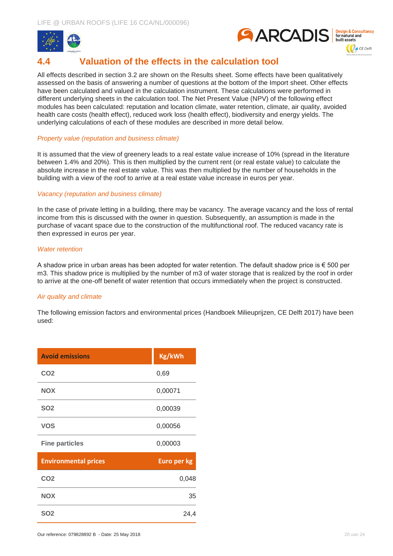



### <span id="page-19-0"></span>**4.4 Valuation of the effects in the calculation tool**

All effects described in section 3.2 are shown on the Results sheet. Some effects have been qualitatively assessed on the basis of answering a number of questions at the bottom of the Import sheet. Other effects have been calculated and valued in the calculation instrument. These calculations were performed in different underlying sheets in the calculation tool. The Net Present Value (NPV) of the following effect modules has been calculated: reputation and location climate, water retention, climate, air quality, avoided health care costs (health effect), reduced work loss (health effect), biodiversity and energy yields. The underlying calculations of each of these modules are described in more detail below.

#### *Property value (reputation and business climate)*

It is assumed that the view of greenery leads to a real estate value increase of 10% (spread in the literature between 1.4% and 20%). This is then multiplied by the current rent (or real estate value) to calculate the absolute increase in the real estate value. This was then multiplied by the number of households in the building with a view of the roof to arrive at a real estate value increase in euros per year.

#### *Vacancy (reputation and business climate)*

In the case of private letting in a building, there may be vacancy. The average vacancy and the loss of rental income from this is discussed with the owner in question. Subsequently, an assumption is made in the purchase of vacant space due to the construction of the multifunctional roof. The reduced vacancy rate is then expressed in euros per year.

#### *Water retention*

A shadow price in urban areas has been adopted for water retention. The default shadow price is  $\epsilon$  500 per m3. This shadow price is multiplied by the number of m3 of water storage that is realized by the roof in order to arrive at the one-off benefit of water retention that occurs immediately when the project is constructed.

#### *Air quality and climate*

The following emission factors and environmental prices (Handboek Milieuprijzen, CE Delft 2017) have been used:

| <b>Avoid emissions</b>      | Kg/kWh             |
|-----------------------------|--------------------|
| CO <sub>2</sub>             | 0,69               |
| <b>NOX</b>                  | 0,00071            |
| <b>SO2</b>                  | 0,00039            |
| <b>VOS</b>                  | 0,00056            |
| <b>Fine particles</b>       | 0,00003            |
| <b>Environmental prices</b> | <b>Euro per kg</b> |
| CO <sub>2</sub>             | 0,048              |
|                             |                    |
| <b>NOX</b>                  | 35                 |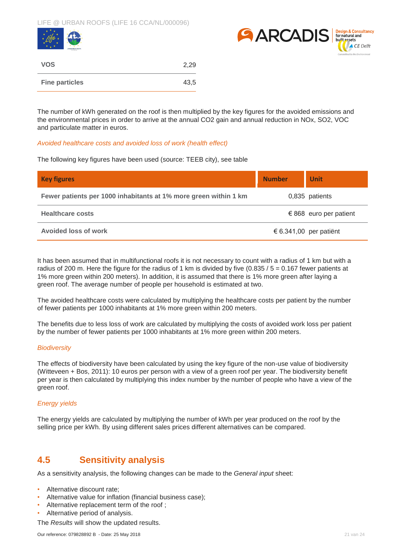| *                     | LIFE QUESAN ROOFS<br><b>SPITERPART</b> |      |
|-----------------------|----------------------------------------|------|
| <b>VOS</b>            |                                        | 2,29 |
| <b>Fine particles</b> |                                        | 43,5 |



The number of kWh generated on the roof is then multiplied by the key figures for the avoided emissions and the environmental prices in order to arrive at the annual CO2 gain and annual reduction in NOx, SO2, VOC and particulate matter in euros.

#### *Avoided healthcare costs and avoided loss of work (health effect)*

The following key figures have been used (source: TEEB city), see table

| <b>Key figures</b>                                               | <b>Number</b>          | <b>Unit</b>            |
|------------------------------------------------------------------|------------------------|------------------------|
| Fewer patients per 1000 inhabitants at 1% more green within 1 km |                        | 0,835 patients         |
| <b>Healthcare costs</b>                                          |                        | € 868 euro per patient |
| Avoided loss of work                                             | € 6.341,00 per patiënt |                        |

It has been assumed that in multifunctional roofs it is not necessary to count with a radius of 1 km but with a radius of 200 m. Here the figure for the radius of 1 km is divided by five  $(0.835 / 5 = 0.167$  fewer patients at 1% more green within 200 meters). In addition, it is assumed that there is 1% more green after laying a green roof. The average number of people per household is estimated at two.

The avoided healthcare costs were calculated by multiplying the healthcare costs per patient by the number of fewer patients per 1000 inhabitants at 1% more green within 200 meters.

The benefits due to less loss of work are calculated by multiplying the costs of avoided work loss per patient by the number of fewer patients per 1000 inhabitants at 1% more green within 200 meters.

#### *Biodiversity*

The effects of biodiversity have been calculated by using the key figure of the non-use value of biodiversity (Witteveen + Bos, 2011): 10 euros per person with a view of a green roof per year. The biodiversity benefit per year is then calculated by multiplying this index number by the number of people who have a view of the green roof.

#### *Energy yields*

The energy yields are calculated by multiplying the number of kWh per year produced on the roof by the selling price per kWh. By using different sales prices different alternatives can be compared.

#### <span id="page-20-0"></span>**4.5 Sensitivity analysis**

As a sensitivity analysis, the following changes can be made to the *General input* sheet:

- Alternative discount rate;
- Alternative value for inflation (financial business case);
- Alternative replacement term of the roof ;
- Alternative period of analysis.

The *Results* will show the updated results.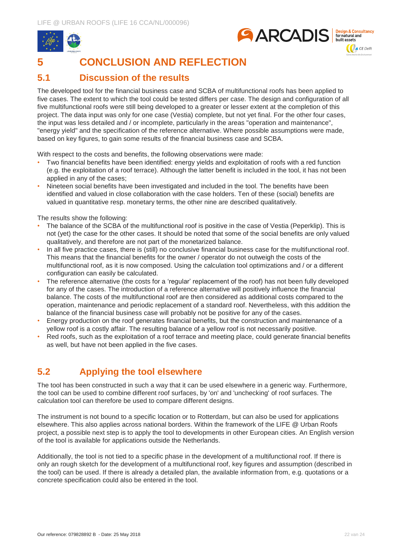





# <span id="page-21-0"></span>**5 CONCLUSION AND REFLECTION**

### **5.1 Discussion of the results**

The developed tool for the financial business case and SCBA of multifunctional roofs has been applied to five cases. The extent to which the tool could be tested differs per case. The design and configuration of all five multifunctional roofs were still being developed to a greater or lesser extent at the completion of this project. The data input was only for one case (Vestia) complete, but not yet final. For the other four cases, the input was less detailed and / or incomplete, particularly in the areas "operation and maintenance", "energy yield" and the specification of the reference alternative. Where possible assumptions were made, based on key figures, to gain some results of the financial business case and SCBA.

With respect to the costs and benefits, the following observations were made:

- Two financial benefits have been identified: energy yields and exploitation of roofs with a red function (e.g. the exploitation of a roof terrace). Although the latter benefit is included in the tool, it has not been applied in any of the cases;
- Nineteen social benefits have been investigated and included in the tool. The benefits have been identified and valued in close collaboration with the case holders. Ten of these (social) benefits are valued in quantitative resp. monetary terms, the other nine are described qualitatively.

The results show the following:

- The balance of the SCBA of the multifunctional roof is positive in the case of Vestia (Peperklip). This is not (yet) the case for the other cases. It should be noted that some of the social benefits are only valued qualitatively, and therefore are not part of the monetarized balance.
- In all five practice cases, there is (still) no conclusive financial business case for the multifunctional roof. This means that the financial benefits for the owner / operator do not outweigh the costs of the multifunctional roof, as it is now composed. Using the calculation tool optimizations and / or a different configuration can easily be calculated.
- The reference alternative (the costs for a 'regular' replacement of the roof) has not been fully developed for any of the cases. The introduction of a reference alternative will positively influence the financial balance. The costs of the multifunctional roof are then considered as additional costs compared to the operation, maintenance and periodic replacement of a standard roof. Nevertheless, with this addition the balance of the financial business case will probably not be positive for any of the cases.
- Energy production on the roof generates financial benefits, but the construction and maintenance of a yellow roof is a costly affair. The resulting balance of a yellow roof is not necessarily positive.
- Red roofs, such as the exploitation of a roof terrace and meeting place, could generate financial benefits as well, but have not been applied in the five cases.

### **5.2 Applying the tool elsewhere**

The tool has been constructed in such a way that it can be used elsewhere in a generic way. Furthermore, the tool can be used to combine different roof surfaces, by 'on' and 'unchecking' of roof surfaces. The calculation tool can therefore be used to compare different designs.

The instrument is not bound to a specific location or to Rotterdam, but can also be used for applications elsewhere. This also applies across national borders. Within the framework of the LIFE @ Urban Roofs project, a possible next step is to apply the tool to developments in other European cities. An English version of the tool is available for applications outside the Netherlands.

Additionally, the tool is not tied to a specific phase in the development of a multifunctional roof. If there is only an rough sketch for the development of a multifunctional roof, key figures and assumption (described in the tool) can be used. If there is already a detailed plan, the available information from, e.g. quotations or a concrete specification could also be entered in the tool.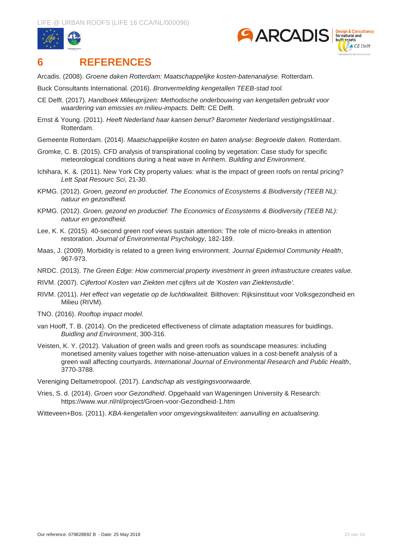<span id="page-22-0"></span>



### **6 REFERENCES**

Arcadis. (2008). *Groene daken Rotterdam: Maatschappelijke kosten-batenanalyse.* Rotterdam.

Buck Consultants International. (2016). *Bronvermelding kengetallen TEEB-stad tool.*

- CE Delft. (2017). *Handboek Milieuprijzen: Methodische onderbouwing van kengetallen gebruikt voor waardering van emissies en milieu-impacts.* Delft: CE Delft.
- Ernst & Young. (2011). *Heeft Nederland haar kansen benut? Barometer Nederland vestigingsklimaat .* Rotterdam.

Gemeente Rotterdam. (2014). *Maatschappelijke kosten en baten analyse: Begroeide daken.* Rotterdam.

- Gromke, C. B. (2015). CFD analysis of transpirational cooling by vegetation: Case study for specific meteorological conditions during a heat wave in Arnhem. *Building and Environment*.
- Ichihara, K. &. (2011). New York City property values: what is the impact of green roofs on rental pricing? *Lett Spat Resourc Sci*, 21-30.
- KPMG. (2012). *Groen, gezond en productief. The Economics of Ecosystems & Biodiversity (TEEB NL): natuur en gezondheid.*
- KPMG. (2012). *Groen, gezond en productief: The Economics of Ecosystems & Biodiversity (TEEB NL): natuur en gezondheid.*
- Lee, K. K. (2015). 40-second green roof views sustain attention: The role of micro-breaks in attention restoration. *Journal of Environmental Psychology*, 182-189.
- Maas, J. (2009). Morbidity is related to a green living environment. *Journal Epidemiol Community Health*, 967-973.
- NRDC. (2013). *The Green Edge: How commercial property investment in green infrastructure creates value.*
- RIVM. (2007). *Cijfertool Kosten van Ziekten met cijfers uit de 'Kosten van Ziektenstudie'.*
- RIVM. (2011). *Het effect van vegetatie op de luchtkwaliteit.* Bilthoven: Rijksinstituut voor Volksgezondheid en Milieu (RIVM).
- TNO. (2016). *Rooftop impact model.*
- van Hooff, T. B. (2014). On the prediceted effectiveness of climate adaptation measures for buidlings. *Buidling and Environment*, 300-316.
- Veisten, K. Y. (2012). Valuation of green walls and green roofs as soundscape measures: including monetised amenity values together with noise-attenuation values in a cost-benefit analysis of a green wall affecting courtyards. *International Journal of Environmental Research and Public Health*, 3770-3788.
- Vereniging Deltametropool. (2017). *Landschap als vestigingsvoorwaarde.*
- Vries, S. d. (2014). *Groen voor Gezondheid*. Opgehaald van Wageningen University & Research: https://www.wur.nl/nl/project/Groen-voor-Gezondheid-1.htm

Witteveen+Bos. (2011). *KBA-kengetallen voor omgevingskwaliteiten: aanvulling en actualisering.*